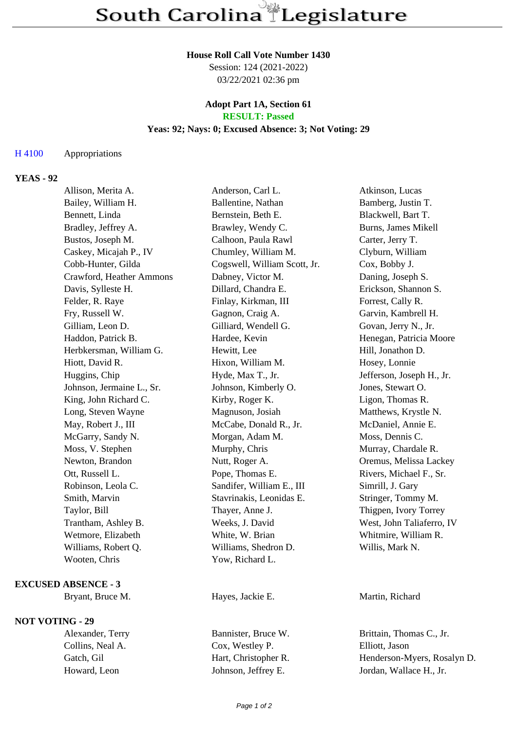#### **House Roll Call Vote Number 1430**

Session: 124 (2021-2022) 03/22/2021 02:36 pm

## **Adopt Part 1A, Section 61 RESULT: Passed**

## **Yeas: 92; Nays: 0; Excused Absence: 3; Not Voting: 29**

## H 4100 Appropriations

# **YEAS - 92**

| Allison, Merita A.        | Anderson, Carl L.            | Atkinson, Lucas           |
|---------------------------|------------------------------|---------------------------|
| Bailey, William H.        | Ballentine, Nathan           | Bamberg, Justin T.        |
| Bennett, Linda            | Bernstein, Beth E.           | Blackwell, Bart T.        |
| Bradley, Jeffrey A.       | Brawley, Wendy C.            | Burns, James Mikell       |
| Bustos, Joseph M.         | Calhoon, Paula Rawl          | Carter, Jerry T.          |
| Caskey, Micajah P., IV    | Chumley, William M.          | Clyburn, William          |
| Cobb-Hunter, Gilda        | Cogswell, William Scott, Jr. | Cox, Bobby J.             |
| Crawford, Heather Ammons  | Dabney, Victor M.            | Daning, Joseph S.         |
| Davis, Sylleste H.        | Dillard, Chandra E.          | Erickson, Shannon S.      |
| Felder, R. Raye           | Finlay, Kirkman, III         | Forrest, Cally R.         |
| Fry, Russell W.           | Gagnon, Craig A.             | Garvin, Kambrell H.       |
| Gilliam, Leon D.          | Gilliard, Wendell G.         | Govan, Jerry N., Jr.      |
| Haddon, Patrick B.        | Hardee, Kevin                | Henegan, Patricia Moore   |
| Herbkersman, William G.   | Hewitt, Lee                  | Hill, Jonathon D.         |
| Hiott, David R.           | Hixon, William M.            | Hosey, Lonnie             |
| Huggins, Chip             | Hyde, Max T., Jr.            | Jefferson, Joseph H., Jr. |
| Johnson, Jermaine L., Sr. | Johnson, Kimberly O.         | Jones, Stewart O.         |
| King, John Richard C.     | Kirby, Roger K.              | Ligon, Thomas R.          |
| Long, Steven Wayne        | Magnuson, Josiah             | Matthews, Krystle N.      |
| May, Robert J., III       | McCabe, Donald R., Jr.       | McDaniel, Annie E.        |
| McGarry, Sandy N.         | Morgan, Adam M.              | Moss, Dennis C.           |
| Moss, V. Stephen          | Murphy, Chris                | Murray, Chardale R.       |
| Newton, Brandon           | Nutt, Roger A.               | Oremus, Melissa Lackey    |
| Ott, Russell L.           | Pope, Thomas E.              | Rivers, Michael F., Sr.   |
| Robinson, Leola C.        | Sandifer, William E., III    | Simrill, J. Gary          |
| Smith, Marvin             | Stavrinakis, Leonidas E.     | Stringer, Tommy M.        |
| Taylor, Bill              | Thayer, Anne J.              | Thigpen, Ivory Torrey     |
| Trantham, Ashley B.       | Weeks, J. David              | West, John Taliaferro, IV |
| Wetmore, Elizabeth        | White, W. Brian              | Whitmire, William R.      |
| Williams, Robert Q.       | Williams, Shedron D.         | Willis, Mark N.           |
| Wooten, Chris             | Yow, Richard L.              |                           |
|                           |                              |                           |

#### **EXCUSED ABSENCE - 3**

Bryant, Bruce M. Hayes, Jackie E. Martin, Richard

## **NOT VOTING - 29**

Collins, Neal A. Cox, Westley P. Elliott, Jason

Alexander, Terry Bannister, Bruce W. Brittain, Thomas C., Jr. Gatch, Gil Hart, Christopher R. Henderson-Myers, Rosalyn D. Howard, Leon Johnson, Jeffrey E. Jordan, Wallace H., Jr.